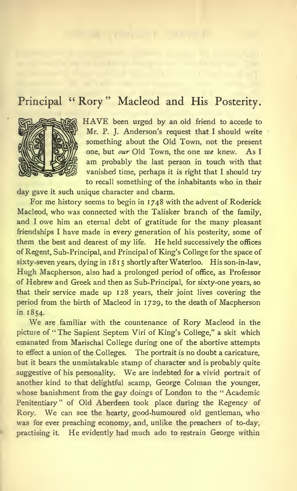# Principal "Rory" Macleod and His Posterity.



HAVE been urged by an old friend to accede to Mr. P. J. Anderson's request that I should write something about the Old Town, not the present one, but our Old Town, the one we knew. As I am probably the last person in touch with that vanished time, perhaps it is right that <sup>I</sup> should try to recall something of the inhabitants who in their

day gave it such unique character and charm.

For me history seems to begin in 1748 with the advent of Roderick Macleod, who was connected with the Talisker branch of the family, and <sup>I</sup> owe him an eternal debt of gratitude for the many pleasant friendships <sup>I</sup> have made in every generation of his posterity, some of them the best and dearest of my life. He held successively the offices of Regent, Sub-Principal, and Principal of King's College for the space of sixty-seven years, dying in 1815 shortly after Waterloo. His son-in-law, Hugh Macpherson, also had a prolonged period of office, as Professor of Hebrew and Greek and then as Sub-Principal, for sixty-one years, so that their service made up 128 years, their joint lives covering the period from the birth of Macleod in 1729, to the death of Macpherson in 1854.

We are familiar with the countenance of Rory Macleod in the picture of "The Sapient Septem Viri of King's College," a skit which emanated from Marischal College during one of the abortive attempts to effect a union of the Colleges. The portrait is no doubt a caricature, but it bears the unmistakable stamp of character and is probably quite suggestive of his personality. We are indebted for <sup>a</sup> vivid portrait of another kind to that delightful scamp, George Colman the younger, whose banishment from the gay doings of London to the "Academic Penitentiary" of Old Aberdeen took place during the Regency of Rory. We can see the hearty, good-humoured old gentleman, who was for ever preaching economy, and, unlike the preachers of to-day, practising it. He evidently had much ado to restrain George within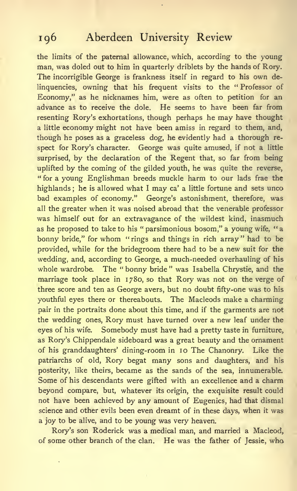the limits of the paternal allowance, which, according to the young man, was doled out to him in quarterly driblets by the hands of Rory. The incorrigible George is frankness itself in regard to his own delinquencies, owning that his frequent visits to the "Professor of Economy," as he nicknames him, were as often to petition for an advance as to receive the dole. He seems to have been far from resenting Rory's exhortations, though perhaps he may have thought a little economy might not have been amiss in regard to them, and, though he poses as a graceless dog, he evidently had a thorough re spect for Rory's character. George was quite amused, if not a little surprised, by the declaration of the Regent that, so far from being uplifted by the coming of the gilded youth, he was quite the reverse, " for a young Englishman breeds muckle harm to our lads frae the highlands ; he is allowed what <sup>I</sup> may ca' a little fortune and sets unco bad examples of economy." George's astonishment, therefore, was all the greater when it was noised abroad that the venerable professor was himself out for an extravagance of the wildest kind, inasmuch as he proposed to take to his "parsimonious bosom," a young wife, "a bonny bride," for whom "rings and things in rich array" had to be provided, while for the bridegroom there had to be a new suit for the wedding, and, according to George, a much-needed overhauling of his whole wardrobe. The " bonny bride " was Isabella Chrystie, and the marriage took place in 1780, so that Rory was not on the verge of three score and ten as George avers, but no doubt fifty-one was to his youthful eyes there or thereabouts. The Macleods make a charming pair in the portraits done about this time, and if the garments are not the wedding ones, Rory must have turned over a new leaf under the eyes of his wife. Somebody must have had a pretty taste in furniture, as Rory's Chippendale sideboard was a great beauty and the ornament of his granddaughters' dining-room in 10 The Chanonry. Like the patriarchs of old, Rory begat many sons and daughters, and his posterity, like theirs, became as the sands of the sea, innumerable. Some of his descendants were gifted with an excellence and a charm beyond compare, but, whatever its origin, the exquisite result could not have been achieved by any amount of Eugenics, had that dismal science and other evils been even dreamt of in these days, when it was a joy to be alive, and to be young was very heaven.

Rory's son Roderick was a medical man, and married a Macleod, of some other branch of the clan. He was the father of Jessie, who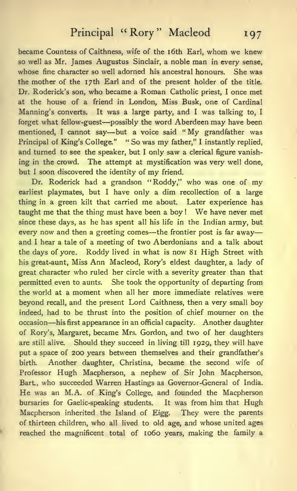became Countess of Caithness, wife of the i6th Earl, whom we knew so well as Mr. James Augustus Sinclair, a noble man in every sense, whose fine character so well adorned his ancestral honours. She was the mother of the 17th Earl and of the present holder of the title. Dr. Roderick's son, who became <sup>a</sup> Roman Catholic priest, <sup>I</sup> once met at the house of a friend in London, Miss Busk, one of Cardinal Manning's converts. It was a large party, and <sup>I</sup> was talking to, <sup>I</sup> forget what fellow-guest—possibly the word Aberdeen may have been mentioned, <sup>I</sup> cannot say—but <sup>a</sup> voice said " My grandfather was Principal of King's College." " So was my father," I instantly replied, and turned to see the speaker, but <sup>I</sup> only saw a clerical figure vanishing in the crowd. The attempt at mystification was very well done, but I soon discovered the identity of my friend.

Dr. Roderick had <sup>a</sup> grandson "Roddy," who was one of my earliest playmates, but <sup>I</sup> have only a dim recollection of a large thing in a green kilt that carried me about. Later experience has taught me that the thing must have been <sup>a</sup> boy ! We have never met since these days, as he has spent all his life in the Indian army, but every now and then a greeting comes—the frontier post is far away and <sup>I</sup> hear a tale of a meeting of two Aberdonians and a talk about the days of yore. Roddy lived in what is now 81 High Street with his great-aunt, Miss Ann Macleod, Rory's eldest daughter, a lady of great character who ruled her circle with a severity greater than that permitted even to aunts. She took the opportunity of departing from the world at a moment when all her more immediate relatives were beyond recall, and the present Lord Caithness, then a very small boy indeed, had to be thrust into the position of chief mourner on the occasion—his first appearance in an official capacity. Another daughter of Rory's, Margaret, became Mrs. Gordon, and two of her daughters are still alive. Should they succeed in living till 1929, they will have put a space of 200 years between themselves and their grandfather's birth. Another daughter, Christina, became the second wife of Professor Hugh Macpherson, a nephew of Sir John Macpherson, Bart, who succeeded Warren Hastings as Governor-General of India. He was an M.A. of King's College, and founded the Macpherson bursaries for Gaelic-speaking students. It was from him that Hugh Macpherson inherited the Island of Eigg. They were the parents of thirteen children, who all lived to old age, and whose united ages reached the magnificent total of 1060 years, making the family a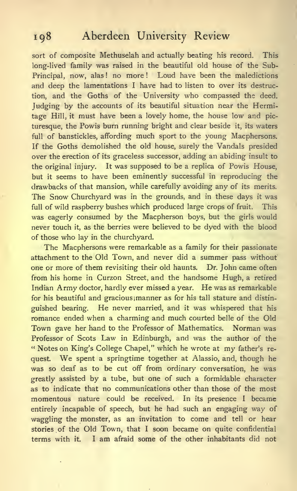sort of composite Methuselah and actually beating his record. This long-lived family was raised in the beautiful old house of the Sub-Principal, now, alas! no more! Loud have been the maledictions and deep the lamentations <sup>I</sup> have had to listen to over its destruction, and the Goths of the University who compassed the deed. Judging by the accounts of its beautiful situation near the Hermitage Hill, it must have been a lovely home, the house low and picturesque, the Powis burn running bright and clear beside it, its waters full of banstickles, affording much sport to the young Macphersons. If the Goths demolished the old house, surely the Vandals presided over the erection of its graceless successor, adding an abiding insult to the original injury. It was supposed to be a replica of Powis House, but it seems to have been eminently successful in reproducing the drawbacks of that mansion, while carefully avoiding any of its merits. The Snow Churchyard was in the grounds, and in these days it was full of wild raspberry bushes which produced large crops of fruit. This was eagerly consumed by the Macpherson boys, but the girls would never touch it, as the berries were believed to be dyed with the blood of those who lay in the churchyard.

The Macphersons were remarkable as a family for their passionate attachment to the Old Town, and never did a summer pass without one or more of them revisiting their old haunts. Dr. John came often from his home in Curzon Street, and the handsome Hugh, a retired Indian Army doctor, hardly ever missed <sup>a</sup> year. He was as remarkable for his beautiful and gracious; manner as for his tall stature and distin guished bearing. He never married, and it was whispered that his romance ended when a charming and much courted belle of the Old Town gave her hand to the Professor of Mathematics. Norman was Professor of Scots Law in Edinburgh, and was the author of the " Notes on King's College Chapel," which he wrote at my father's re quest. We spent <sup>a</sup> springtime together at Alassio, and, though he was so deaf as to be cut off from ordinary conversation, he was greatly assisted by a tube, but one of such a formidable character as to indicate that no communications other than those of the most momentous nature could be received. In its presence <sup>I</sup> became entirely incapable of speech, but he had such an engaging way of waggling the monster, as an invitation to come and tell or hear stories of the Old Town, that <sup>I</sup> soon became on quite confidential terms with it. <sup>I</sup> am afraid some of the other inhabitants did not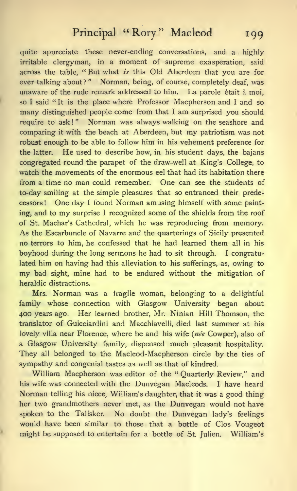quite appreciate these never-ending conversations, and a highly irritable clergyman, in a moment of supreme exasperation, said across the table, "But what is this Old Aberdeen that you are for ever talking about?" Norman, being, of course, completely deaf, was unaware of the rude remark addressed to him. La parole était à moi, so I said "It is the place where Professor Macpherson and I and so many distinguished people come from that <sup>I</sup> am surprised you should require to ask!" Norman was always walking on the seashore and comparing it with the beach at Aberdeen, but my patriotism was not robust enough to be able to follow him in his vehement preference for the latter. He used to describe how, in his student days, the bajans congregated round the parapet of the draw-well at King's College, to watch the movements of the enormous eel that had its habitation there from a time no man could remember. One can see the students of to-day smiling at the simple pleasures that so entranced their predecessors ! One day <sup>I</sup> found Norman amusing himself with some painting, and to my surprise <sup>I</sup> recognized some of the shields from the roof of St. Machar's Cathedral, which he was reproducing from memory. As the Escarbuncle of Navarre and the quarterings of Sicily presented no terrors to him, he confessed that he had learned them all in his boyhood during the long sermons he had to sit through. <sup>I</sup> congratulated him on having had this alleviation to his sufferings, as, owing to my bad sight, mine had to be endured without the mitigation of heraldic distractions.

Mrs. Norman was a fragile woman, belonging to a delightful family whose connection with Glasgow University began about 400 years ago. Her learned brother, Mr. Ninian Hill Thomson, the translator of Guicciardini and Macchiavelli, died last summer at his lovely villa near Florence, where he and his wife (née Cowper), also of a Glasgow University family, dispensed much pleasant hospitality. They all belonged to the Macleod-Macpherson circle by the ties of sympathy and congenial tastes as well as that of kindred.

William Macpherson was editor of the " Quarterly Review," and his wife was connected with the Dunvegan Macleods. <sup>I</sup> have heard Norman telling his niece, William's daughter, that it was a good thing her two grandmothers never met, as the Dunvegan would not have spoken to the Talisker. No doubt the Dunvegan lady's feelings would have been similar to those that a bottle of Clos Vougeot might be supposed to entertain for a bottle of St. Julien. William's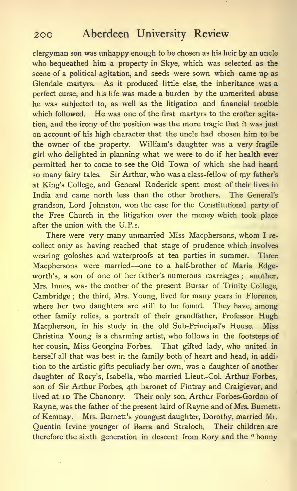clergyman son was unhappy enough to be chosen as his heir by an uncle who bequeathed him a property in Skye, which was selected as the scene of a political agitation, and seeds were sown which came up as Glendale martyrs. As it produced little else, the inheritance was a perfect curse, and his life was made a burden by the unmerited abuse he was subjected to, as well as the litigation and financial trouble which followed. He was one of the first martyrs to the crofter agitation, and the irony of the position was the more tragic that it was just on account of his high character that the uncle had chosen him to be the owner of the property. William's daughter was a very fragile girl who delighted in planning what we were to do if her health ever permitted her to come to see the Old Town of which she had heard so many fairy tales. Sir Arthur, who was a class-fellow of my father's at King's College, and General Roderick spent most of their lives in India and came north less than the other brothers. The General's grandson. Lord Johnston, won the case for the Constitutional party of the Free Church in the litigation over the money which took place after the union with the U.P.s.

There were very many unmarried Miss Macphersons, whom <sup>I</sup> re collect only as having reached that stage of prudence which involves wearing goloshes and waterproofs at tea parties in summer. Three Macphersons were married—one to <sup>a</sup> half-brother of Maria Edgeworth's, a son of one of her father's numerous marriages; another, Mrs. Innes, was the mother of the present Bursar of Trinity College, Cambridge ; the third, Mrs. Young, lived for many years in Florence, where her two daughters are still to be found. They have, among other family relics, a portrait of their grandfather. Professor Hugh Macpherson, in his study in the old Sub-Principal's House. Miss Christina Young is a charming artist, who follows in the footsteps of her cousin. Miss Georgina Forbes. That gifted lady, who united in herself all that was best in the family both of heart and head, in addition to the artistic gifts peculiarly her own, was a daughter of another daughter of Rory's, Isabella, who married Lieut.-Col. Arthur Forbes, son of Sir Arthur Forbes, 4th baronet of Fintray and Craigievar, and lived at 10 The Chanonry. Their only son, Arthur Forbes-Gordon of Rayne, was the father of the present laird of Rayne and of Mrs. Burnett, of Kemnay. Mrs. Burnett's youngest daughter, Dorothy, married Mr. Quentin Irvine younger of Barra and Straloch. Their children are therefore the sixth generation in descent from Rory and the " bonny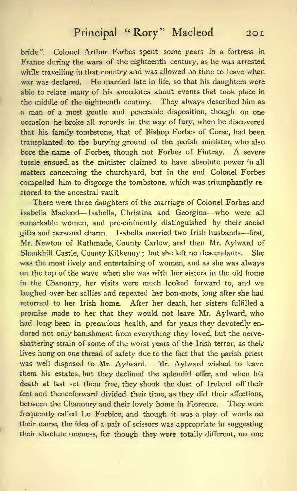bride". Colonel Arthur Forbes spent some years in a fortress in France during the wars of the eighteenth century, as he was arrested while travelling in that country and was allowed no time to leave when war was declared. He married late in life, so that his daughters were able to relate many of his anecdotes about events that took place in the middle of the eighteenth century. They always described him as a man of a most gentle and peaceable disposition, though on one occasion he broke all records in the way of fury, when he discovered that his family tombstone, that of Bishop Forbes of Corse, had been transplanted to the burying ground of the parish minister, who also bore the name of Forbes, though not Forbes of Fintray. A severe tussle ensued, as the minister claimed to have absolute power in all matters concerning the churchyard, but in the end Colonel Forbes compelled him to disgorge the tombstone, which was triumphantly re stored to the ancestral vault.

There were three daughters of the marriage of Colonel Forbes and Isabella Macleod—Isabella, Christina and Georgina—who were all remarkable women, and pre-eminently distinguished by their social gifts and personal charm. Isabella married two Irish husbands—first, Mr. Newton of Rathmade, County Carlow, and then Mr. Aylward of Shankhill Castle, County Kilkenny ; but she left no descendants. She was the most lively and entertaining of women, and as she was always on the top of the wave when she was with her sisters in the old home in the Chanonry, her visits were much looked forward to, and we laughed over her sallies and repeated her bon-mots, long after she had returned to her Irish home. After her death, her sisters fulfilled a promise made to her that they would not leave Mr. Aylward, who had long been in precarious health, and for years they devotedly en dured not only banishment from everything they loved, but the nerveshattering strain of some of the worst years of the Irish terror, as their lives hung on one thread of safety due to the fact that the parish priest was well disposed to Mr. Aylward. Mr. Aylward wished to leave them his estates, but they declined the splendid offer, and when his death at last set them free, they shook the dust of Ireland off their feet and thenceforward divided their time, as they did their affections, between the Chanonry and their lovely home in Florence. They were frequently called Le Forbice, and though it was a play of words on their name, the idea of a pair of scissors was appropriate in suggesting their absolute oneness, for though they were totally different, no one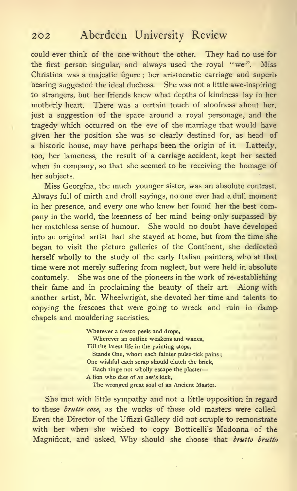could ever think of the one without the other. They had no use for the first person singular, and always used the royal "we". Miss Christina was a majestic figure ; her aristocratic carriage and superb bearing suggested the ideal duchess. She was not a little awe-inspiring to strangers, but her friends knew what depths of kindness lay in her motherly heart. There was a certain touch of aloofness about her, just a suggestion of the space around a royal personage, and the tragedy which occurred on the eve of the marriage that would have given her the position she was so clearly destined for, as head of a historic house, may have perhaps been the origin of it. Latterly, too, her lameness, the result of a carriage accident, kept her seated when in company, so that she seemed to be receiving the homage of her subjects.

Miss Georgina, the much younger sister, was an absolute contrast. Always full of mirth and droll sayings, no one ever had a dull moment in her presence, and every one who knew her found her the best company in the world, the keenness of her mind being only surpassed by her matchless sense of humour. She would no doubt have developed into an original artist had she stayed at home, but from the time she began to visit the picture galleries of the Continent, she dedicated herself wholly to the study of the early Italian painters, who at that time were not merely suffering from neglect, but were held in absolute contumely. She was one of the pioneers in the work of re-establishing their fame and in proclaiming the beauty of their art. Along with another artist, Mr. Wheelwright, she devoted her time and talents to copying the frescoes that were going to wreck and ruin in damp chapels and mouldering sacristies.

> Wherever a fresco peels and drops, Wherever an outline weakens and wanes, Till the latest life in the painting stops, Stands One, whom each fainter pulse-tick pains One wishful each scrap should clutch the brick. Each tinge not wholly escape the plaster A lion who dies of an ass's kick, The wronged great soul of an Ancient Master.

She met with little sympathy and not a little opposition in regard to these brutte cose, as the works of these old masters were called. Even the Director of the Uffizzi Gallery did not scruple to remonstrate with her when she wished to copy Botticelli's Madonna of the Magnificat, and asked, Why should she choose that brutto brutto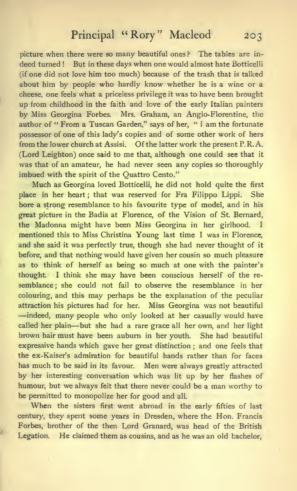picture when there were so many beautiful ones? The tables are in deed turned! But in these days when one would almost hate Botticelli (if one did not love him too much) because of the trash that is talked about him by people who hardly know whether he is a wine or a cheese, one feels what a priceless privilege it was to have been brought up from childhood in the faith and love of the early Italian painters by Miss Georgina Forbes. Mrs. Graham, an Anglo-Florentine, the author of " From a Tuscan Garden," says of her, " <sup>I</sup> am the fortunate possessor of one of this lady's copies and of some other work of hers from the lower church at Assisi, Of the latter work the present P. R. A. (Lord Leighton) once said to me that, although one could see that it was that of an amateur, he had never seen any copies so thoroughly imbued with the spirit of the Quattro Cento."

Much as Georgina loved Botticelli, he did not hold quite the first place in her heart ; that was reserved for Fra Filippo Lippi. She bore a strong resemblance to his favourite type of model, and in his great picture in the Badia at Florence, of the Vision of St. Bernard, the Madonna might have been Miss Georgina in her girlhood. <sup>I</sup> mentioned this to Miss Christina Young last time <sup>I</sup> was in Florence, and she said it was perfectly true, though she had never thought of it before, and that nothing would have given her cousin so much pleasure as to think of herself as being so much at one with the painter's thought. <sup>I</sup> think she may have been conscious herself of the re semblance ; she could not fail to observe the resemblance in her colouring, and this may perhaps be the explanation of the peculiar attraction his pictures had for her. Miss Georgina was not beautiful —indeed, many people who only looked at her casually would have called her plain—but she had <sup>a</sup> rare grace all her own, and her light brown hair must have been auburn in her youth. She had beautiful expressive hands which gave her great distinction ; and one feels that the ex-Kaiser's admiration for beautiful hands rather than for faces has much to be said in its favour. Men were always greatly attracted by her interesting conversation which was lit up by her flashes of humour, but we always felt that there never could be a man worthy to be permitted to monopolize her for good and all.

When the sisters first went abroad in the early fifties of last century, they spent some years in Dresden, where the Hon. Francis Forbes, brother of the then Lord Granard, was head of the British Legation. He claimed them as cousins, and as he was an old bachelor,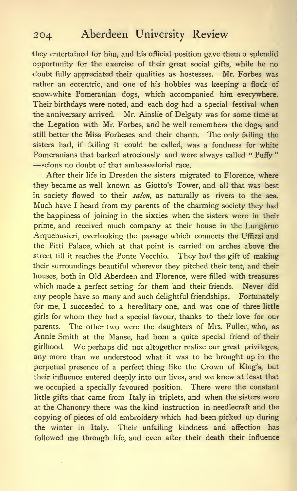they entertained for him, and his official position gave them a splendid opportunity for the exercise of their great social gifts, while he no doubt fully appreciated their qualities as hostesses. Mr. Forbes was rather an eccentric, and one of his hobbies was keeping a flock of snow-white Pomeranian dogs, which accompanied him everywhere. Their birthdays were noted, and each dog had a special festival when the anniversary arrived. Mr. Ainslie of Delgaty was for some time at the Legation with Mr. Forbes, and he well remembers the dogs, and still better the Miss Forbeses and their charm. The only failing the sisters had, if failing it could be called, was a fondness for white Pomeranians that barked atrociously and were always called " Puffy " —scions no doubt of that ambassadorial race.

After their life in Dresden the sisters migrated to Florence, where they became as well known as Giotto's Tower, and all that was best in society flowed to their salon, as naturally as rivers to the sea. Much have <sup>I</sup> heard from my parents of the charming society they had the happiness of joining in the sixties when the sisters were in their prime, and received much company at their house in the Lungárno Arquebusieri, overlooking the passage which connects the Uffizzi and the Pitti Palace, which at that point is carried on arches above the street till it reaches the Ponte Vecchio. They had the gift of making their surroundings beautiful wherever they pitched their tent, and their houses, both in Old Aberdeen and Florence, were filled with treasures which made a perfect setting for them and their friends. Never did any people have so many and such delightful friendships. Fortunately for me, I succeeded to a hereditary one, and was one of three little girls for whom they had a special favour, thanks to their love for our parents. The other two were the daughters of Mrs. Fuller, who, as Annie Smith at the Manse, had been a quite special friend of their girlhood. We perhaps did not altogether realize our great privileges, any more than we understood what it was to be brought up in the perpetual presence of a perfect thing like the Crown of King's, but their influence entered deeply into our lives, and we knew at least that we occupied a specially favoured position. There were the constant little gifts that came from Italy in triplets, and when the sisters were at the Chanonry there was the kind instruction in needlecraft and the copying of pieces of old embroidery which had been picked up during the winter in Italy. Their unfailing kindness and affection has followed me through life, and even after their death their influence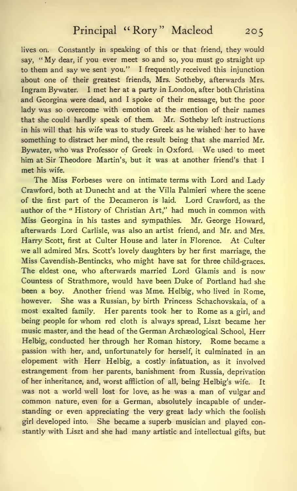lives on. Constantly in speaking of this or that friend, they would say, " My dear, if you ever meet so and so, you must go straight up to them and say we sent you." <sup>I</sup> frequently received this injunction about one of their greatest friends, Mrs. Sotheby, afterwards Mrs. Ingram Bywater. <sup>I</sup> met her at a party in London, after both Christina and Georgina were dead, and <sup>I</sup>spoke of their message, but the poor lady was so overcome with emotion at the mention of their names that she could hardly speak of them. Mr. Sotheby left instructions in his will that his wife was to study Greek as he wished her to have something to distract her mind, the result being that she married Mr. Bywater, who was Professor of Greek in Oxford. We used to meet him at Sir Theodore Martin's, but it was at another friend's that <sup>I</sup> met his wife.

The Miss Forbeses were on intimate terms with Lord and Lady Crawford, both at Dunecht and at the Villa Palmieri where the scene of the first part of the Decameron is laid. Lord Crawford, as the author of the " History of Christian Art," had much in common with Miss Georgina in his tastes and sympathies. Mr. George Howard, afterwards Lord Carlisle, was also an artist friend, and Mr. and Mrs. Harry Scott, first at Culter House and later in Florence. At Culter we all admired Mrs. Scott's lovely daughters by her first marriage, the Miss Cavendish-Bentincks, who might have sat for three child-graces. The eldest one, who afterwards married Lord Glamis and is now Countess of Strathmore, would have been Duke of Portland had she been a boy. Another friend was Mme. Helbig, who lived in Rome, however. She was a Russian, by birth Princess Schachovskaia, of a most exalted family. Her parents took her to Rome as <sup>a</sup> girl, and being people for whom red cloth is always spread, Liszt became her music master, and the head of the German Archaeological School, Herr Helbig, conducted her through her Roman history. Rome became a passion with her, and, unfortunately for herself, it culminated in an elopement with Herr Helbig, a costly infatuation, as it involved estrangement from her parents, banishment from Russia, deprivation of her inheritance, and, worst affliction of all, being Helbig's wife. It was not a world well lost for love, as he was a man of vulgar and common nature, even for a German, absolutely incapable of understanding or even appreciating the very great lady which the foolish girl developed into. She became a superb musician and played constantly with Liszt and she had many artistic and intellectual gifts, but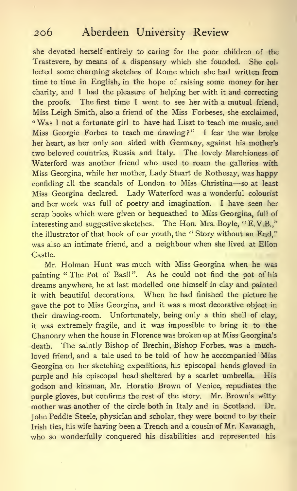she devoted herself entirely to caring for the poor children of the Trastevere, by means of a dispensary which she founded. She col lected some charming sketches of Rome which she had written from time to time in English, in the hope of raising some money for her charity, and I had the pleasure of helping her with it and correcting the proofs. The first time <sup>I</sup> went to see her with a mutual friend, Miss Leigh Smith, also a friend of the Miss Forbeses, she exclaimed, " Was <sup>I</sup> not <sup>a</sup> fortunate girl to have had Liszt to teach me music, and Miss Georgie Forbes to teach me drawing?" <sup>I</sup> fear the war broke her heart, as her only son sided with Germany, against his mother's two beloved countries, Russia and Italy. The lovely Marchioness of Waterford was another friend who used to roam the galleries with Miss Georgina, while her mother, Lady Stuart de Rothesay, was happy confiding all the scandals of London to Miss Christina—so at least Miss Georgina declared. Lady Waterford was a wonderful colourist and her work was full of poetry and imagination. <sup>I</sup> have seen her scrap books which were given or bequeathed to Miss Georgina, full of interesting and suggestive sketches. The Hon. Mrs. Boyle, "E.V.B.," the illustrator of that book of our youth, the " Story without an End," was also an intimate friend, and a neighbour when she lived at Ellon Castle.

Mr. Holman Hunt was much with Miss Georgina when he was painting " The Pot of Basil". As he could not find the pot of his dreams anywhere, he at last modelled one himself in clay and painted it with beautiful decorations. When he had finished the picture he gave the pot to Miss Georgina, and it was a most decorative object in their drawing-room. Unfortunately, being only a thin shell of clay, it was extremely fragile, and it was impossible to bring it to the Chanonry when the house in Florence was broken up at Miss Georgina's death. The saintly Bishop of Brechin, Bishop Forbes, was a muchloved friend, and a tale used to be told of how he accompanied Miss Georgina on her sketching expeditions, his episcopal hands gloved in purple and his episcopal head sheltered by a scarlet umbrella. His godson and kinsman, Mr. Horatio Brown of Venice, repudiates the purple gloves, but confirms the rest of the story. Mr. Brown's witty mother was another of the circle both in Italy and in Scotland. Dr. John Peddie Steele, physician and scholar, they were bound to by their Irish ties, his wife having been a Trench and a cousin of Mr. Kavanagh, who so wonderfully conquered his disabilities and represented his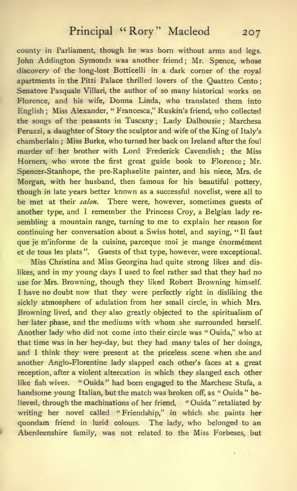county in Parliament, though he was born without arms and legs. John Addington Symonds was another friend; Mr. Spence, whose discovery of the long-lost Botticelli in a dark corner of the royal apartments in the Pitti Palace thrilled lovers of the Quattro Cento; Senatore Pasquale Villari, the author of so many historical works on Florence, and his wife, Donna Linda, who translated them into English ; Miss Alexander, " Francesca," Ruskin's friend, who collected the songs of the peasants in Tuscany; Lady Dalhousie ; Marchesa Peruzzi, a daughter of Story the sculptor and wife of the King of Italy's chamberlain ; Miss Burke, who turned her back on Ireland after the foul murder of her brother with Lord Frederick Cavendish; the Miss Homers, who wrote the first great guide book to Florence; Mr. Spencer-Stanhope, the pre-Raphaelite painter, and his niece, Mrs. de Morgan, with her husband, then famous for his beautiful pottery, though in late years better known as a successful novelist, were all to be met at their salon. There were, however, sometimes guests of another type, and <sup>I</sup> remember the Princess Croy, a Belgian lady re sembling <sup>a</sup> mountain range, turning to me to explain her reason for continuing her conversation about a Swiss hotel, and saying, " II faut que je m'informe de la cuisine, parceque moi je mange énormément et de tous les plats ". Guests of that type, however, were exceptional.

Miss Christina and Miss Georgina had quite strong likes and dislikes, and in my young days <sup>I</sup> used to feel rather sad that they had no use for Mrs. Browning, though they liked Robert Browning himself. <sup>I</sup> have no doubt now that they were perfectly right in disliking the sickly atmosphere of adulation from her small circle, in which Mrs. Browning lived, and they also greatly objected to the spiritualism of her later phase, and the mediums with whom she surrounded herself. Another lady who did not come into their circle was " Ouida," who at that time was in her hey-day, but they had many tales of her doings, and <sup>I</sup> think they were present at the priceless scene when she and another Anglo-Florentine lady slapped each other's faces at a great reception, after a violent altercation in which they slanged each other like fish wives. "Ouida" had been engaged to the Marchese Stufa, a handsome young Italian, but the match was broken off, as " Ouida " believed, through the machinations of her friend. "Ouida" retaliated by writing her novel called " Friendship," in which she paints her quondam friend in lurid colours. The lady, who belonged to an Aberdeenshire family, was not related to the Miss Forbeses, but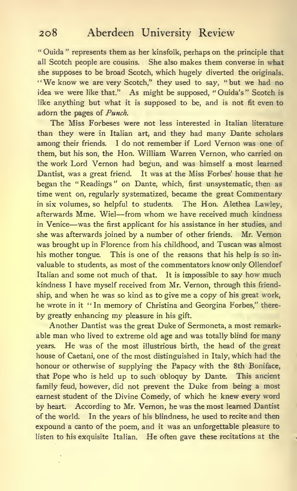" Ouida " represents them as her kinsfolk, perhaps on the principle that all Scotch people are cousins. She also makes them converse in what she supposes to be broad Scotch, which hugely diverted the originals. "We know we are very Scotch," they used to say, "but we had no idea we were like that." As might be supposed, " Ouida's " Scotch is like anything but what it is supposed to be, and is not fit even to adorn the pages of Punch.

The Miss Forbeses were not less interested in Italian literature than they were in Italian art, and they had many Dante scholars among their friends. <sup>I</sup> do not remember if Lord Vernon was one of them, but his son, the Hon. William Warren Vernon, who carried on the work Lord Vernon had begun, and was himself a most learned Dantist, was a great friend. It was at the Miss Forbes' house that he began the " Readings " on Dante, which, first unsystematic, then as time went on, regularly systematized, became the great Commentary in six volumes, so helpful to students. The Hon. Alethea Lawley, afterwards Mme. Wiel—from whom we have received much kindness in Venice—was the first applicant for his assistance in her studies, and she was afterwards joined by a number of other friends. Mr. Vernon was brought up in Florence from his childhood, and Tuscan was almost his mother tongue. This is one of the reasons that his help is so in valuable to students, as most of the commentators know only Ollendorf Italian and some not much of that. It is impossible to say how much kindness <sup>I</sup> have myself received from Mr. Vernon, through this friendship, and when he was so kind as to give me a copy of his great work, he wrote in it "In memory of Christina and Georgina Forbes," there by greatly enhancing my pleasure in his gift.

Another Dantist was the great Duke of Sermoneta, a most remarkable man who lived to extreme old age and was totally blind for many years. He was of the most illustrious birth, the head of the great house of Caetani, one of the most distinguished in Italy, which had the honour or otherwise of supplying the Papacy with the 8th Boniface, that Pope who is held up to such obloquy by Dante. This ancient family feud, however, did not prevent the Duke from being a most earnest student of the Divine Comedy, of which he knew every word by heart. According to Mr. Vernon, he was the most learned Dantist of the world. In the years of his blindness, he used to recite and then expound a canto of the poem, and it was an unforgettable pleasure to listen to his exquisite Italian. He often gave these recitations at the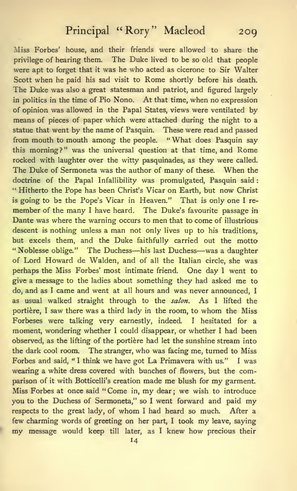Miss Forbes' house, and their friends were allowed to share the privilege of hearing them. The Duke lived to be so old that people were apt to forget that it was he who acted as cicerone to Sir Walter Scott when he paid his sad visit to Rome shortly before his death. The Duke was also a great statesman and patriot, and figured largely in politics in the time of Pio Nono. At that time, when no expression of opinion was allowed in the Papal States, views were ventilated by means of pieces of paper which were attached during the night to a statue that went by the name of Pasquin. These were read and passed from mouth to mouth among the people. "What does Pasquin say this morning?" was the universal question at that time, and Rome rocked with laughter over the witty pasquinades, as they were called. The Duke of Sermoneta was the author of many of these. When the doctrine of the Papal Infallibility was promulgated, Pasquin said: " Hitherto the Pope has been Christ's Vicar on Earth, but now Christ is going to bs the Pope's Vicar in Heaven." That is only one <sup>I</sup> re member of the many <sup>I</sup> have heard. The Duke's favourite passage in Dante was where the warning occurs to men that to come of illustrious descent is nothing unless a man not only lives up to his traditions, but excels them, and the Duke faithfully carried out the motto " Noblesse oblige." The Duchess—his last Duchess—was <sup>a</sup> daughter of Lord Howard de Walden, and of all the Italian circle, she was perhaps the Miss Forbes' most intimate friend. One day <sup>I</sup> went to give a message to the ladies about something they had asked me to do, and as <sup>I</sup> came and went at all hours and was never announced, <sup>I</sup> as usual walked straight through to the salon. As I lifted the portière, I saw there was a third lady in the room, to whom the Miss Forbeses were talking very earnestly, indeed. <sup>I</sup> hesitated for a moment, wondering whether I could disappear, or whether I had been observed, as the lifting of the portière had let the sunshine stream into the dark cool room. The stranger, who was facing me, turned to Miss Forbes and said, " <sup>I</sup> think we have got La Primavera with us." <sup>I</sup> was wearing a white dress covered with bunches of flowers, but the comparison of it with Botticelli's creation made me blush for my garment. Miss Forbes at once said " Come in, my dear ; we wish to introduce you to the Duchess of Sermoneta," so <sup>I</sup> went forward and paid my respects to the great lady, of whom <sup>I</sup> had heard so much. After <sup>a</sup> few charming words of greeting on her part, <sup>I</sup> took my leave, saying my message would keep till later, as <sup>I</sup> knew how precious their